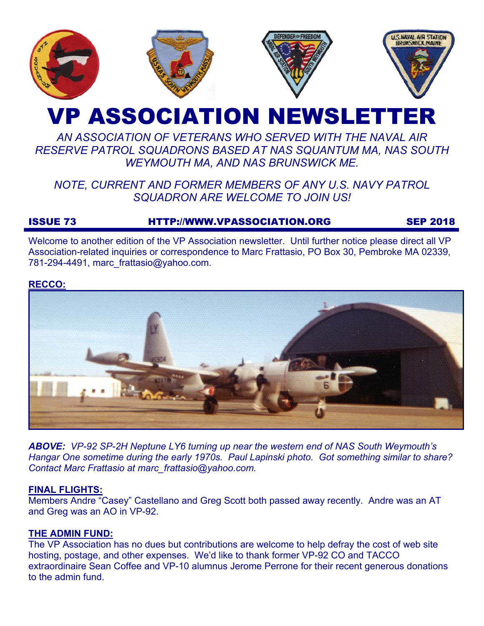

# VP ASSOCIATION NEWSLETTER

# *AN ASSOCIATION OF VETERANS WHO SERVED WITH THE NAVAL AIR RESERVE PATROL SQUADRONS BASED AT NAS SQUANTUM MA, NAS SOUTH WEYMOUTH MA, AND NAS BRUNSWICK ME.*

# *NOTE, CURRENT AND FORMER MEMBERS OF ANY U.S. NAVY PATROL SQUADRON ARE WELCOME TO JOIN US!*

## ISSUE 73 HTTP://WWW.VPASSOCIATION.ORG SEP 2018

Welcome to another edition of the VP Association newsletter. Until further notice please direct all VP Association-related inquiries or correspondence to Marc Frattasio, PO Box 30, Pembroke MA 02339, 781-294-4491, marc\_frattasio@yahoo.com.

#### **RECCO:**



*ABOVE: VP-92 SP-2H Neptune LY6 turning up near the western end of NAS South Weymouth's Hangar One sometime during the early 1970s. Paul Lapinski photo. Got something similar to share? Contact Marc Frattasio at marc\_frattasio@yahoo.com.* 

#### **FINAL FLIGHTS:**

Members Andre "Casey" Castellano and Greg Scott both passed away recently. Andre was an AT and Greg was an AO in VP-92.

### **THE ADMIN FUND:**

The VP Association has no dues but contributions are welcome to help defray the cost of web site hosting, postage, and other expenses. We'd like to thank former VP-92 CO and TACCO extraordinaire Sean Coffee and VP-10 alumnus Jerome Perrone for their recent generous donations to the admin fund.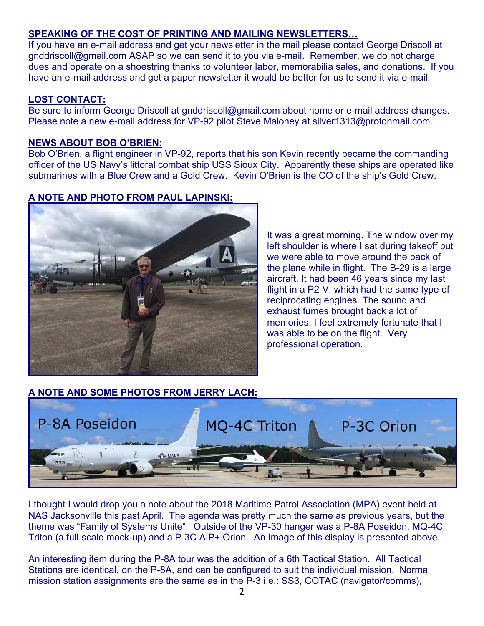### **SPEAKING OF THE COST OF PRINTING AND MAILING NEWSLETTERS…**

If you have an e-mail address and get your newsletter in the mail please contact George Driscoll at gnddriscoll@gmail.com ASAP so we can send it to you via e-mail. Remember, we do not charge dues and operate on a shoestring thanks to volunteer labor, memorabilia sales, and donations. If you have an e-mail address and get a paper newsletter it would be better for us to send it via e-mail.

#### **LOST CONTACT:**

Be sure to inform George Driscoll at gnddriscoll@gmail.com about home or e-mail address changes. Please note a new e-mail address for VP-92 pilot Steve Maloney at silver1313@protonmail.com.

#### **NEWS ABOUT BOB O'BRIEN:**

Bob O'Brien, a flight engineer in VP-92, reports that his son Kevin recently became the commanding officer of the US Navy's littoral combat ship USS Sioux City. Apparently these ships are operated like submarines with a Blue Crew and a Gold Crew. Kevin O'Brien is the CO of the ship's Gold Crew.

#### **A NOTE AND PHOTO FROM PAUL LAPINSKI:**



It was a great morning. The window over my left shoulder is where I sat during takeoff but we were able to move around the back of the plane while in flight. The B-29 is a large aircraft. It had been 46 years since my last flight in a P2-V, which had the same type of reciprocating engines. The sound and exhaust fumes brought back a lot of memories. I feel extremely fortunate that I was able to be on the flight. Very professional operation.

### **A NOTE AND SOME PHOTOS FROM JERRY LACH:**



I thought I would drop you a note about the 2018 Maritime Patrol Association (MPA) event held at NAS Jacksonville this past April. The agenda was pretty much the same as previous years, but the theme was "Family of Systems Unite". Outside of the VP-30 hanger was a P-8A Poseidon, MQ-4C Triton (a full-scale mock-up) and a P-3C AIP+ Orion. An Image of this display is presented above.

An interesting item during the P-8A tour was the addition of a 6th Tactical Station. All Tactical Stations are identical, on the P-8A, and can be configured to suit the individual mission. Normal mission station assignments are the same as in the P-3 i.e.: SS3, COTAC (navigator/comms),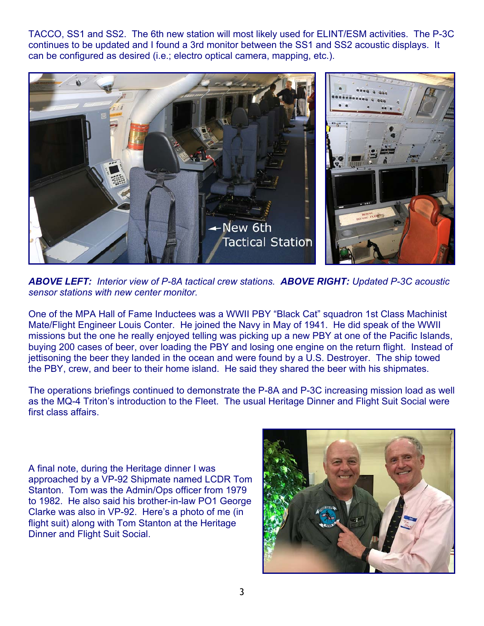TACCO, SS1 and SS2. The 6th new station will most likely used for ELINT/ESM activities. The P-3C continues to be updated and I found a 3rd monitor between the SS1 and SS2 acoustic displays. It can be configured as desired (i.e.; electro optical camera, mapping, etc.).



*ABOVE LEFT: Interior view of P-8A tactical crew stations. ABOVE RIGHT: Updated P-3C acoustic sensor stations with new center monitor.*

One of the MPA Hall of Fame Inductees was a WWII PBY "Black Cat" squadron 1st Class Machinist Mate/Flight Engineer Louis Conter. He joined the Navy in May of 1941. He did speak of the WWII missions but the one he really enjoyed telling was picking up a new PBY at one of the Pacific Islands, buying 200 cases of beer, over loading the PBY and losing one engine on the return flight. Instead of jettisoning the beer they landed in the ocean and were found by a U.S. Destroyer. The ship towed the PBY, crew, and beer to their home island. He said they shared the beer with his shipmates.

The operations briefings continued to demonstrate the P-8A and P-3C increasing mission load as well as the MQ-4 Triton's introduction to the Fleet. The usual Heritage Dinner and Flight Suit Social were first class affairs.

A final note, during the Heritage dinner I was approached by a VP-92 Shipmate named LCDR Tom Stanton. Tom was the Admin/Ops officer from 1979 to 1982. He also said his brother-in-law PO1 George Clarke was also in VP-92. Here's a photo of me (in flight suit) along with Tom Stanton at the Heritage Dinner and Flight Suit Social.

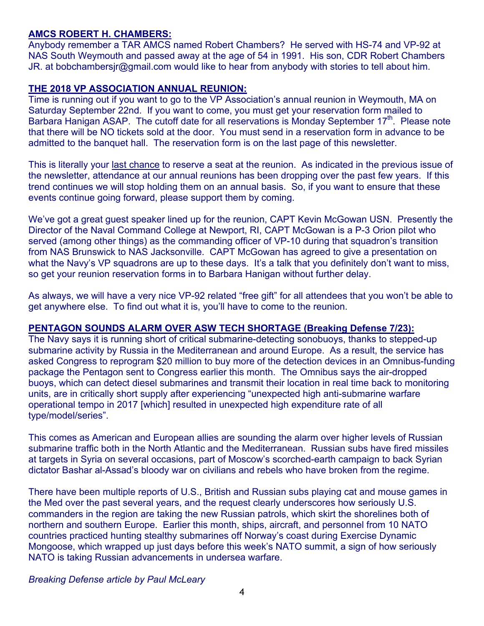#### **AMCS ROBERT H. CHAMBERS:**

Anybody remember a TAR AMCS named Robert Chambers? He served with HS-74 and VP-92 at NAS South Weymouth and passed away at the age of 54 in 1991. His son, CDR Robert Chambers JR. at bobchambersjr@gmail.com would like to hear from anybody with stories to tell about him.

#### **THE 2018 VP ASSOCIATION ANNUAL REUNION:**

Time is running out if you want to go to the VP Association's annual reunion in Weymouth, MA on Saturday September 22nd. If you want to come, you must get your reservation form mailed to Barbara Hanigan ASAP. The cutoff date for all reservations is Monday September 17<sup>th</sup>. Please note that there will be NO tickets sold at the door. You must send in a reservation form in advance to be admitted to the banquet hall. The reservation form is on the last page of this newsletter.

This is literally your last chance to reserve a seat at the reunion. As indicated in the previous issue of the newsletter, attendance at our annual reunions has been dropping over the past few years. If this trend continues we will stop holding them on an annual basis. So, if you want to ensure that these events continue going forward, please support them by coming.

We've got a great guest speaker lined up for the reunion, CAPT Kevin McGowan USN. Presently the Director of the Naval Command College at Newport, RI, CAPT McGowan is a P-3 Orion pilot who served (among other things) as the commanding officer of VP-10 during that squadron's transition from NAS Brunswick to NAS Jacksonville. CAPT McGowan has agreed to give a presentation on what the Navy's VP squadrons are up to these days. It's a talk that you definitely don't want to miss, so get your reunion reservation forms in to Barbara Hanigan without further delay.

As always, we will have a very nice VP-92 related "free gift" for all attendees that you won't be able to get anywhere else. To find out what it is, you'll have to come to the reunion.

#### **PENTAGON SOUNDS ALARM OVER ASW TECH SHORTAGE (Breaking Defense 7/23):**

The Navy says it is running short of critical submarine-detecting sonobuoys, thanks to stepped-up submarine activity by Russia in the Mediterranean and around Europe. As a result, the service has asked Congress to reprogram \$20 million to buy more of the detection devices in an Omnibus-funding package the Pentagon sent to Congress earlier this month. The Omnibus says the air-dropped buoys, which can detect diesel submarines and transmit their location in real time back to monitoring units, are in critically short supply after experiencing "unexpected high anti-submarine warfare operational tempo in 2017 [which] resulted in unexpected high expenditure rate of all type/model/series".

This comes as American and European allies are sounding the alarm over higher levels of Russian submarine traffic both in the North Atlantic and the Mediterranean. Russian subs have fired missiles at targets in Syria on several occasions, part of Moscow's scorched-earth campaign to back Syrian dictator Bashar al-Assad's bloody war on civilians and rebels who have broken from the regime.

There have been multiple reports of U.S., British and Russian subs playing cat and mouse games in the Med over the past several years, and the request clearly underscores how seriously U.S. commanders in the region are taking the new Russian patrols, which skirt the shorelines both of northern and southern Europe. Earlier this month, ships, aircraft, and personnel from 10 NATO countries practiced hunting stealthy submarines off Norway's coast during Exercise Dynamic Mongoose, which wrapped up just days before this week's NATO summit, a sign of how seriously NATO is taking Russian advancements in undersea warfare.

*Breaking Defense article by Paul McLeary*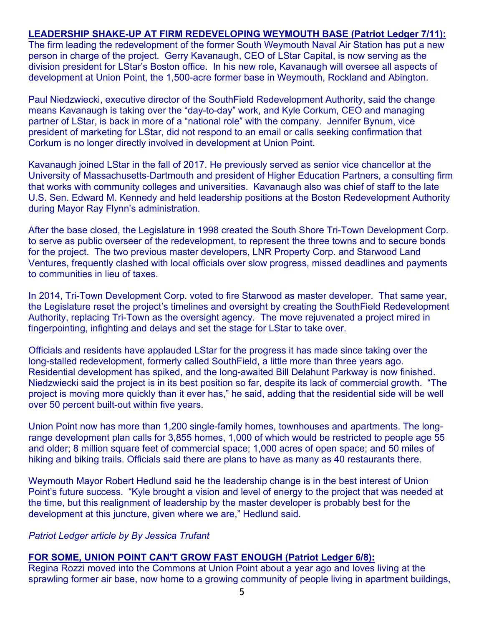#### **LEADERSHIP SHAKE-UP AT FIRM REDEVELOPING WEYMOUTH BASE (Patriot Ledger 7/11):**

The firm leading the redevelopment of the former South Weymouth Naval Air Station has put a new person in charge of the project. Gerry Kavanaugh, CEO of LStar Capital, is now serving as the division president for LStar's Boston office. In his new role, Kavanaugh will oversee all aspects of development at Union Point, the 1,500-acre former base in Weymouth, Rockland and Abington.

Paul Niedzwiecki, executive director of the SouthField Redevelopment Authority, said the change means Kavanaugh is taking over the "day-to-day" work, and Kyle Corkum, CEO and managing partner of LStar, is back in more of a "national role" with the company. Jennifer Bynum, vice president of marketing for LStar, did not respond to an email or calls seeking confirmation that Corkum is no longer directly involved in development at Union Point.

Kavanaugh joined LStar in the fall of 2017. He previously served as senior vice chancellor at the University of Massachusetts-Dartmouth and president of Higher Education Partners, a consulting firm that works with community colleges and universities. Kavanaugh also was chief of staff to the late U.S. Sen. Edward M. Kennedy and held leadership positions at the Boston Redevelopment Authority during Mayor Ray Flynn's administration.

After the base closed, the Legislature in 1998 created the South Shore Tri-Town Development Corp. to serve as public overseer of the redevelopment, to represent the three towns and to secure bonds for the project. The two previous master developers, LNR Property Corp. and Starwood Land Ventures, frequently clashed with local officials over slow progress, missed deadlines and payments to communities in lieu of taxes.

In 2014, Tri-Town Development Corp. voted to fire Starwood as master developer. That same year, the Legislature reset the project's timelines and oversight by creating the SouthField Redevelopment Authority, replacing Tri-Town as the oversight agency. The move rejuvenated a project mired in fingerpointing, infighting and delays and set the stage for LStar to take over.

Officials and residents have applauded LStar for the progress it has made since taking over the long-stalled redevelopment, formerly called SouthField, a little more than three years ago. Residential development has spiked, and the long-awaited Bill Delahunt Parkway is now finished. Niedzwiecki said the project is in its best position so far, despite its lack of commercial growth. "The project is moving more quickly than it ever has," he said, adding that the residential side will be well over 50 percent built-out within five years.

Union Point now has more than 1,200 single-family homes, townhouses and apartments. The longrange development plan calls for 3,855 homes, 1,000 of which would be restricted to people age 55 and older; 8 million square feet of commercial space; 1,000 acres of open space; and 50 miles of hiking and biking trails. Officials said there are plans to have as many as 40 restaurants there.

Weymouth Mayor Robert Hedlund said he the leadership change is in the best interest of Union Point's future success. "Kyle brought a vision and level of energy to the project that was needed at the time, but this realignment of leadership by the master developer is probably best for the development at this juncture, given where we are," Hedlund said.

#### *Patriot Ledger article by By Jessica Trufant*

#### **FOR SOME, UNION POINT CAN'T GROW FAST ENOUGH (Patriot Ledger 6/8):**

Regina Rozzi moved into the Commons at Union Point about a year ago and loves living at the sprawling former air base, now home to a growing community of people living in apartment buildings,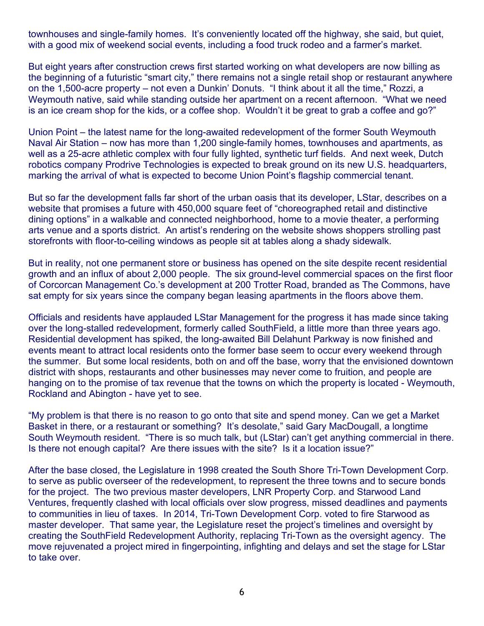townhouses and single-family homes. It's conveniently located off the highway, she said, but quiet, with a good mix of weekend social events, including a food truck rodeo and a farmer's market.

But eight years after construction crews first started working on what developers are now billing as the beginning of a futuristic "smart city," there remains not a single retail shop or restaurant anywhere on the 1,500-acre property – not even a Dunkin' Donuts. "I think about it all the time," Rozzi, a Weymouth native, said while standing outside her apartment on a recent afternoon. "What we need is an ice cream shop for the kids, or a coffee shop. Wouldn't it be great to grab a coffee and go?"

Union Point – the latest name for the long-awaited redevelopment of the former South Weymouth Naval Air Station – now has more than 1,200 single-family homes, townhouses and apartments, as well as a 25-acre athletic complex with four fully lighted, synthetic turf fields. And next week, Dutch robotics company Prodrive Technologies is expected to break ground on its new U.S. headquarters, marking the arrival of what is expected to become Union Point's flagship commercial tenant.

But so far the development falls far short of the urban oasis that its developer, LStar, describes on a website that promises a future with 450,000 square feet of "choreographed retail and distinctive dining options" in a walkable and connected neighborhood, home to a movie theater, a performing arts venue and a sports district. An artist's rendering on the website shows shoppers strolling past storefronts with floor-to-ceiling windows as people sit at tables along a shady sidewalk.

But in reality, not one permanent store or business has opened on the site despite recent residential growth and an influx of about 2,000 people. The six ground-level commercial spaces on the first floor of Corcorcan Management Co.'s development at 200 Trotter Road, branded as The Commons, have sat empty for six years since the company began leasing apartments in the floors above them.

Officials and residents have applauded LStar Management for the progress it has made since taking over the long-stalled redevelopment, formerly called SouthField, a little more than three years ago. Residential development has spiked, the long-awaited Bill Delahunt Parkway is now finished and events meant to attract local residents onto the former base seem to occur every weekend through the summer. But some local residents, both on and off the base, worry that the envisioned downtown district with shops, restaurants and other businesses may never come to fruition, and people are hanging on to the promise of tax revenue that the towns on which the property is located - Weymouth, Rockland and Abington - have yet to see.

"My problem is that there is no reason to go onto that site and spend money. Can we get a Market Basket in there, or a restaurant or something? It's desolate," said Gary MacDougall, a longtime South Weymouth resident. "There is so much talk, but (LStar) can't get anything commercial in there. Is there not enough capital? Are there issues with the site? Is it a location issue?"

After the base closed, the Legislature in 1998 created the South Shore Tri-Town Development Corp. to serve as public overseer of the redevelopment, to represent the three towns and to secure bonds for the project. The two previous master developers, LNR Property Corp. and Starwood Land Ventures, frequently clashed with local officials over slow progress, missed deadlines and payments to communities in lieu of taxes. In 2014, Tri-Town Development Corp. voted to fire Starwood as master developer. That same year, the Legislature reset the project's timelines and oversight by creating the SouthField Redevelopment Authority, replacing Tri-Town as the oversight agency. The move rejuvenated a project mired in fingerpointing, infighting and delays and set the stage for LStar to take over.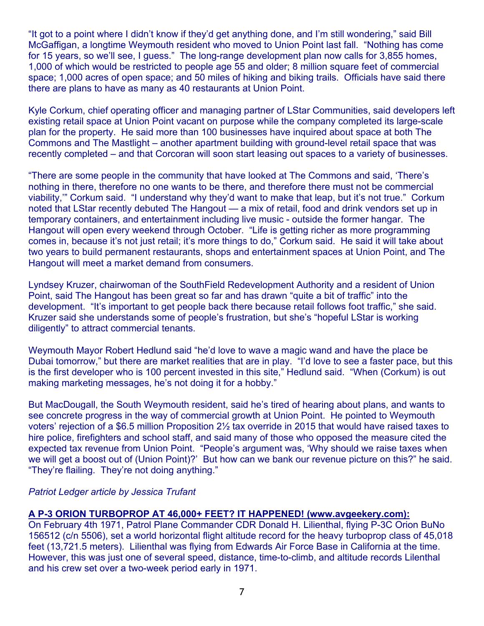"It got to a point where I didn't know if they'd get anything done, and I'm still wondering," said Bill McGaffigan, a longtime Weymouth resident who moved to Union Point last fall. "Nothing has come for 15 years, so we'll see, I guess." The long-range development plan now calls for 3,855 homes, 1,000 of which would be restricted to people age 55 and older; 8 million square feet of commercial space; 1,000 acres of open space; and 50 miles of hiking and biking trails. Officials have said there there are plans to have as many as 40 restaurants at Union Point.

Kyle Corkum, chief operating officer and managing partner of LStar Communities, said developers left existing retail space at Union Point vacant on purpose while the company completed its large-scale plan for the property. He said more than 100 businesses have inquired about space at both The Commons and The Mastlight – another apartment building with ground-level retail space that was recently completed – and that Corcoran will soon start leasing out spaces to a variety of businesses.

"There are some people in the community that have looked at The Commons and said, 'There's nothing in there, therefore no one wants to be there, and therefore there must not be commercial viability,'" Corkum said. "I understand why they'd want to make that leap, but it's not true." Corkum noted that LStar recently debuted The Hangout — a mix of retail, food and drink vendors set up in temporary containers, and entertainment including live music - outside the former hangar. The Hangout will open every weekend through October. "Life is getting richer as more programming comes in, because it's not just retail; it's more things to do," Corkum said. He said it will take about two years to build permanent restaurants, shops and entertainment spaces at Union Point, and The Hangout will meet a market demand from consumers.

Lyndsey Kruzer, chairwoman of the SouthField Redevelopment Authority and a resident of Union Point, said The Hangout has been great so far and has drawn "quite a bit of traffic" into the development. "It's important to get people back there because retail follows foot traffic," she said. Kruzer said she understands some of people's frustration, but she's "hopeful LStar is working diligently" to attract commercial tenants.

Weymouth Mayor Robert Hedlund said "he'd love to wave a magic wand and have the place be Dubai tomorrow," but there are market realities that are in play. "I'd love to see a faster pace, but this is the first developer who is 100 percent invested in this site," Hedlund said. "When (Corkum) is out making marketing messages, he's not doing it for a hobby."

But MacDougall, the South Weymouth resident, said he's tired of hearing about plans, and wants to see concrete progress in the way of commercial growth at Union Point. He pointed to Weymouth voters' rejection of a \$6.5 million Proposition 2½ tax override in 2015 that would have raised taxes to hire police, firefighters and school staff, and said many of those who opposed the measure cited the expected tax revenue from Union Point. "People's argument was, 'Why should we raise taxes when we will get a boost out of (Union Point)?' But how can we bank our revenue picture on this?" he said. "They're flailing. They're not doing anything."

#### *Patriot Ledger article by Jessica Trufant*

#### **A P-3 ORION TURBOPROP AT 46,000+ FEET? IT HAPPENED! (www.avgeekery.com):**

On February 4th 1971, Patrol Plane Commander CDR Donald H. Lilienthal, flying P-3C Orion BuNo 156512 (c/n 5506), set a world horizontal flight altitude record for the heavy turboprop class of 45,018 feet (13,721.5 meters). Lilienthal was flying from Edwards Air Force Base in California at the time. However, this was just one of several speed, distance, time-to-climb, and altitude records Lilenthal and his crew set over a two-week period early in 1971.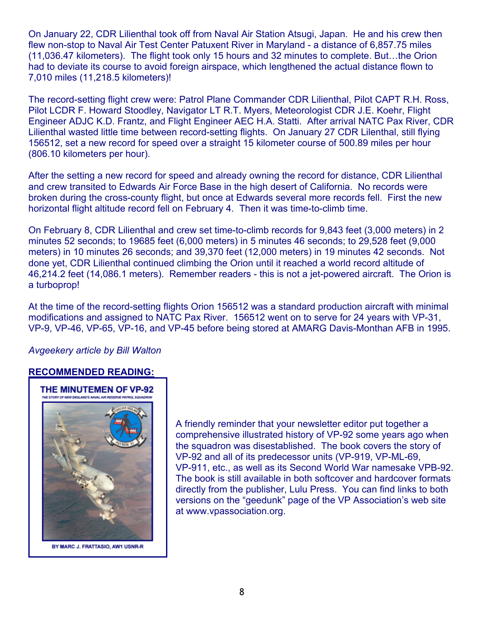On January 22, CDR Lilienthal took off from Naval Air Station Atsugi, Japan. He and his crew then flew non-stop to Naval Air Test Center Patuxent River in Maryland - a distance of 6,857.75 miles (11,036.47 kilometers). The flight took only 15 hours and 32 minutes to complete. But…the Orion had to deviate its course to avoid foreign airspace, which lengthened the actual distance flown to 7,010 miles (11,218.5 kilometers)!

The record-setting flight crew were: Patrol Plane Commander CDR Lilienthal, Pilot CAPT R.H. Ross, Pilot LCDR F. Howard Stoodley, Navigator LT R.T. Myers, Meteorologist CDR J.E. Koehr, Flight Engineer ADJC K.D. Frantz, and Flight Engineer AEC H.A. Statti. After arrival NATC Pax River, CDR Lilienthal wasted little time between record-setting flights. On January 27 CDR Lilenthal, still flying 156512, set a new record for speed over a straight 15 kilometer course of 500.89 miles per hour (806.10 kilometers per hour).

After the setting a new record for speed and already owning the record for distance, CDR Lilienthal and crew transited to Edwards Air Force Base in the high desert of California. No records were broken during the cross-county flight, but once at Edwards several more records fell. First the new horizontal flight altitude record fell on February 4. Then it was time-to-climb time.

On February 8, CDR Lilienthal and crew set time-to-climb records for 9,843 feet (3,000 meters) in 2 minutes 52 seconds; to 19685 feet (6,000 meters) in 5 minutes 46 seconds; to 29,528 feet (9,000 meters) in 10 minutes 26 seconds; and 39,370 feet (12,000 meters) in 19 minutes 42 seconds. Not done yet, CDR Lilienthal continued climbing the Orion until it reached a world record altitude of 46,214.2 feet (14,086.1 meters). Remember readers - this is not a jet-powered aircraft. The Orion is a turboprop!

At the time of the record-setting flights Orion 156512 was a standard production aircraft with minimal modifications and assigned to NATC Pax River. 156512 went on to serve for 24 years with VP-31, VP-9, VP-46, VP-65, VP-16, and VP-45 before being stored at AMARG Davis-Monthan AFB in 1995.

#### *Avgeekery article by Bill Walton*

#### **RECOMMENDED READING:**



A friendly reminder that your newsletter editor put together a comprehensive illustrated history of VP-92 some years ago when the squadron was disestablished. The book covers the story of VP-92 and all of its predecessor units (VP-919, VP-ML-69, VP-911, etc., as well as its Second World War namesake VPB-92. The book is still available in both softcover and hardcover formats directly from the publisher, Lulu Press. You can find links to both versions on the "geedunk" page of the VP Association's web site at www.vpassociation.org.

BY MARC J. FRATTASIO, AW1 USNR-R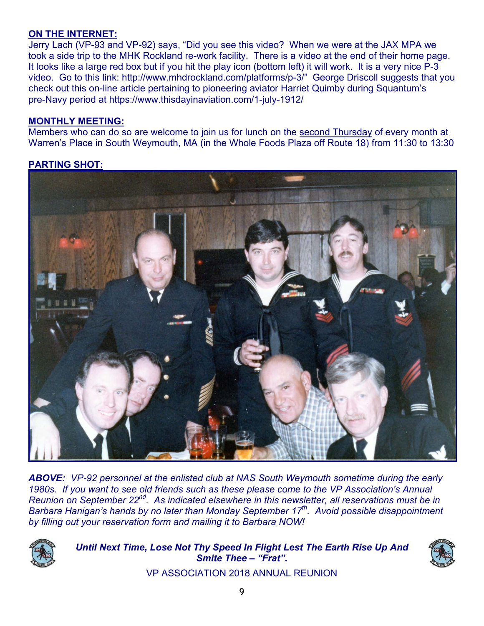#### **ON THE INTERNET:**

Jerry Lach (VP-93 and VP-92) says, "Did you see this video? When we were at the JAX MPA we took a side trip to the MHK Rockland re-work facility. There is a video at the end of their home page. It looks like a large red box but if you hit the play icon (bottom left) it will work. It is a very nice P-3 video. Go to this link: http://www.mhdrockland.com/platforms/p-3/" George Driscoll suggests that you check out this on-line article pertaining to pioneering aviator Harriet Quimby during Squantum's pre-Navy period at https://www.thisdayinaviation.com/1-july-1912/

#### **MONTHLY MEETING:**

Members who can do so are welcome to join us for lunch on the second Thursday of every month at Warren's Place in South Weymouth, MA (in the Whole Foods Plaza off Route 18) from 11:30 to 13:30

### **PARTING SHOT:**



*ABOVE: VP-92 personnel at the enlisted club at NAS South Weymouth sometime during the early 1980s. If you want to see old friends such as these please come to the VP Association's Annual Reunion on September 22nd. As indicated elsewhere in this newsletter, all reservations must be in Barbara Hanigan's hands by no later than Monday September 17th. Avoid possible disappointment by filling out your reservation form and mailing it to Barbara NOW!* 



*Until Next Time, Lose Not Thy Speed In Flight Lest The Earth Rise Up And Smite Thee – "Frat".* 



VP ASSOCIATION 2018 ANNUAL REUNION